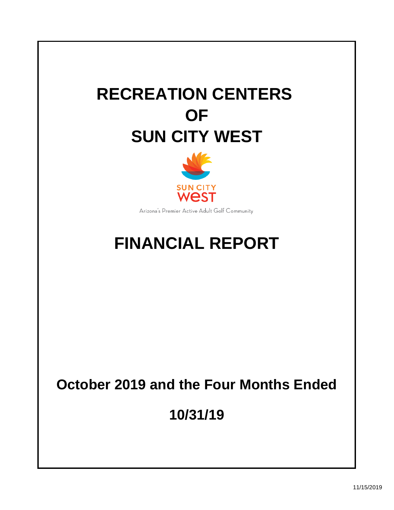# **RECREATION CENTERS OF SUN CITY WEST**



Arizona's Premier Active Adult Golf Community

## **FINANCIAL REPORT**

## **October 2019 and the Four Months Ended**

**10/31/19**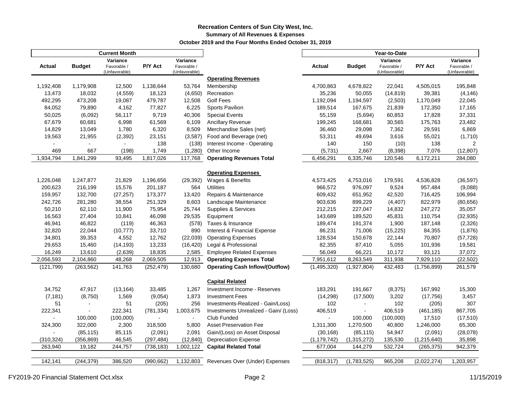#### **Recreation Centers of Sun City West, Inc. Summary of All Revenues & Expenses October 2019 and the Four Months Ended October 31, 2019**

|               |                          | <b>Current Month</b>                     |                     |                                          |                                                                            | Year-to-Date   |                          |                                          |               |                                          |
|---------------|--------------------------|------------------------------------------|---------------------|------------------------------------------|----------------------------------------------------------------------------|----------------|--------------------------|------------------------------------------|---------------|------------------------------------------|
| Actual        | <b>Budget</b>            | Variance<br>Favorable /<br>(Unfavorable) | P/Y Act             | Variance<br>Favorable /<br>(Unfavorable) |                                                                            | Actual         | <b>Budget</b>            | Variance<br>Favorable /<br>(Unfavorable) | P/Y Act       | Variance<br>Favorable /<br>(Unfavorable) |
|               |                          |                                          |                     |                                          | <b>Operating Revenues</b>                                                  |                |                          |                                          |               |                                          |
| 1,192,408     | 1,179,908                | 12,500                                   | 1,138,644           | 53,764                                   | Membership                                                                 | 4,700,863      | 4,678,822                | 22,041                                   | 4,505,015     | 195,848                                  |
| 13,473        | 18,032                   | (4, 559)                                 | 18,123              | (4,650)                                  | Recreation                                                                 | 35,236         | 50,055                   | (14, 819)                                | 39,381        | (4, 146)                                 |
| 492,295       | 473,208                  | 19,087                                   | 479,787             | 12,508                                   | <b>Golf Fees</b>                                                           | 1,192,094      | 1,194,597                | (2,503)                                  | 1,170,049     | 22,045                                   |
| 84,052        | 79,890                   | 4,162                                    | 77,827              | 6,225                                    | Sports Pavilion                                                            | 189,514        | 167,675                  | 21,839                                   | 172,350       | 17,165                                   |
| 50,025        | (6,092)                  | 56,117                                   | 9,719               | 40,306                                   | <b>Special Events</b>                                                      | 55,159         | (5,694)                  | 60,853                                   | 17,828        | 37,331                                   |
| 67,679        | 60,681                   | 6,998                                    | 61,569              | 6,109                                    | Ancillary Revenue                                                          | 199,245        | 168,681                  | 30,565                                   | 175,763       | 23,482                                   |
| 14,829        | 13,049                   | 1,780                                    | 6,320               | 8,509                                    | Merchandise Sales (net)                                                    | 36,460         | 29,098                   | 7,362                                    | 29,591        | 6,869                                    |
| 19,563        | 21,955                   | (2, 392)                                 | 23,151              | (3,587)                                  | Food and Beverage (net)                                                    | 53,311         | 49,694                   | 3,616                                    | 55,021        | (1,710)                                  |
|               | $\overline{a}$           | $\overline{\phantom{a}}$                 | 138                 | (138)                                    | Interest Income - Operating                                                | 140            | 150                      | (10)                                     | 138           | 2                                        |
| 469           | 667                      | (198)                                    | 1,749               | (1,280)                                  | Other Income                                                               | (5,731)        | 2,667                    | (8, 398)                                 | 7,076         | (12, 807)                                |
| 1,934,794     | 1,841,299                | 93,495                                   | 1,817,026           | 117,768                                  | <b>Operating Revenues Total</b>                                            | 6,456,291      | 6,335,746                | 120,546                                  | 6,172,211     | 284,080                                  |
|               |                          |                                          |                     |                                          |                                                                            |                |                          |                                          |               |                                          |
|               |                          |                                          |                     |                                          | <b>Operating Expenses</b>                                                  |                |                          |                                          |               |                                          |
| 1,226,048     | 1,247,877                | 21,829                                   | 1,196,656           | (29, 392)                                | Wages & Benefits                                                           | 4,573,425      | 4,753,016                | 179,591                                  | 4,536,828     | (36, 597)                                |
| 200,623       | 216,199                  | 15,576                                   | 201,187             | 564                                      | <b>Utilities</b>                                                           | 966,572        | 976,097                  | 9,524                                    | 957,484       | (9,088)                                  |
| 159,957       | 132,700                  | (27, 257)                                | 173,377             | 13,420                                   | Repairs & Maintenance                                                      | 609,432        | 651,952                  | 42,520                                   | 716,425       | 106,994                                  |
| 242,726       | 281,280                  | 38,554                                   | 251,329             | 8,603                                    | Landscape Maintenance                                                      | 903,636        | 899,229                  | (4, 407)                                 | 822,979       | (80, 656)                                |
| 50,210        | 62,110                   | 11,900                                   | 75,954              | 25,744                                   | Supplies & Services                                                        | 212,215        | 227,047                  | 14,832                                   | 247,272       | 35,057                                   |
| 16,563        | 27,404                   | 10,841                                   | 46,098              | 29,535                                   | Equipment                                                                  | 143,689        | 189,520                  | 45,831                                   | 110,754       | (32, 935)                                |
| 46,941        | 46,822                   | (119)                                    | 46,363              | (578)                                    | Taxes & Insurance                                                          | 189,474        | 191,374                  | 1,900                                    | 187,148       | (2,326)                                  |
| 32,820        | 22,044                   | (10, 777)                                | 33,710              | 890                                      | Interest & Financial Expense                                               | 86,231         | 71,006                   | (15, 225)                                | 84,355        | (1,876)                                  |
| 34,801        | 39,353                   | 4,552                                    | 12,762              | (22, 039)                                | <b>Operating Expenses</b>                                                  | 128,534        | 150,678                  | 22,144                                   | 70,807        | (57, 728)                                |
| 29,653        | 15,460                   | (14, 193)                                | 13,233              | (16, 420)                                | Legal & Professional                                                       | 82,355         | 87,410                   | 5,055                                    | 101,936       | 19,581                                   |
| 16,249        | 13,610                   | (2,639)                                  | 18,835              | 2,585                                    | <b>Employee Related Expenses</b>                                           | 56,049         | 66,221                   | 10,172                                   | 93,121        | 37,072                                   |
| 2,056,593     | 2,104,860                | 48,268                                   | 2,069,505           | 12,913                                   | <b>Operating Expenses Total</b>                                            | 7,951,612      | 8,263,549                | 311,938                                  | 7,929,110     | (22, 502)                                |
| (121, 799)    | (263, 562)               | 141,763                                  | (252, 479)          | 130,680                                  | <b>Operating Cash Inflow/(Outflow)</b>                                     | (1,495,320)    | (1,927,804)              | 432,483                                  | (1,756,899)   | 261,579                                  |
|               |                          |                                          |                     |                                          |                                                                            |                |                          |                                          |               |                                          |
| 34,752        | 47,917                   |                                          | 33,485              | 1,267                                    | <b>Capital Related</b><br>Investment Income - Reserves                     | 183,291        | 191,667                  |                                          | 167,992       | 15,300                                   |
|               |                          | (13, 164)                                |                     |                                          |                                                                            |                |                          | (8, 375)                                 |               |                                          |
| (7, 181)      | (8,750)                  | 1,569                                    | (9,054)             | 1,873                                    | <b>Investment Fees</b>                                                     | (14, 298)      | (17,500)                 | 3,202                                    | (17, 756)     | 3,457<br>307                             |
| 51<br>222,341 | $\overline{\phantom{a}}$ | 51<br>222,341                            | (205)<br>(781, 334) | 256<br>1,003,675                         | Investments-Realized - Gain/Loss)<br>Investments Unrealized - Gain/ (Loss) | 102<br>406,519 | $\overline{\phantom{a}}$ | 102<br>406,519                           | (205)         | 867,705                                  |
|               |                          |                                          |                     |                                          |                                                                            |                |                          |                                          | (461, 185)    |                                          |
|               | 100,000                  | (100,000)                                |                     | $\blacksquare$                           | Club Funded                                                                |                | 100,000                  | (100,000)                                | 17,510        | (17, 510)                                |
| 324,300       | 322,000                  | 2,300                                    | 318,500             | 5,800                                    | <b>Asset Preservation Fee</b>                                              | 1,311,300      | 1,270,500                | 40,800                                   | 1,246,000     | 65,300                                   |
|               | (85, 115)                | 85,115                                   | (2,091)             | 2,091                                    | Gain/(Loss) on Asset Disposal                                              | (30, 168)      | (85, 115)                | 54,947                                   | (2,091)       | (28,078)                                 |
| (310, 324)    | (356, 869)               | 46,545                                   | (297, 484)          | (12, 840)                                | <b>Depreciation Expense</b>                                                | (1, 179, 742)  | (1,315,272)              | 135,530                                  | (1, 215, 640) | 35,898                                   |
| 263,940       | 19,182                   | 244,757                                  | (738, 183)          | 1,002,122                                | <b>Capital Related Total</b>                                               | 677,004        | 144,279                  | 532,724                                  | (265, 375)    | 942,379                                  |
| 142,141       | (244, 379)               | 386,520                                  | (990, 662)          | 1,132,803                                | Revenues Over (Under) Expenses                                             | (818, 317)     | (1,783,525)              | 965,208                                  | (2,022,274)   | 1,203,957                                |
|               |                          |                                          |                     |                                          |                                                                            |                |                          |                                          |               |                                          |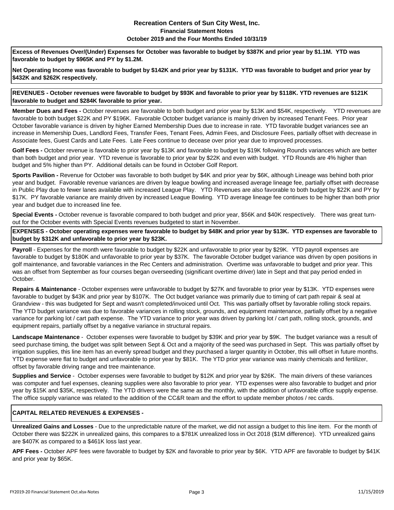#### **Recreation Centers of Sun City West, Inc. Financial Statement Notes October 2019 and the Four Months Ended 10/31/19**

**Excess of Revenues Over/(Under) Expenses for October was favorable to budget by \$387K and prior year by \$1.1M. YTD was favorable to budget by \$965K and PY by \$1.2M.**

**Net Operating Income was favorable to budget by \$142K and prior year by \$131K. YTD was favorable to budget and prior year by \$432K and \$262K respectively.**

**REVENUES - October revenues were favorable to budget by \$93K and favorable to prior year by \$118K. YTD revenues are \$121K favorable to budget and \$284K favorable to prior year.**

**Member Dues and Fees -** October revenues are favorable to both budget and prior year by \$13K and \$54K, respectively. YTD revenues are favorable to both budget \$22K and PY \$196K. Favorable October budget variance is mainly driven by increased Tenant Fees. Prior year October favorable variance is driven by higher Earned Membership Dues due to increase in rate. YTD favorable budget variances see an increase in Memership Dues, Landlord Fees, Transfer Fees, Tenant Fees, Admin Fees, and Disclosure Fees, partially offset with decrease in Associate fees, Guest Cards and Late Fees. Late Fees continue to decease over prior year due to improved processes.

**Golf Fees -** October revenue is favorable to prior year by \$13K and favorable to budget by \$19K following Rounds variances which are better than both budget and prior year. YTD revenue is favorable to prior year by \$22K and even with budget. YTD Rounds are 4% higher than budget and 5% higher than PY. Additional details can be found in October Golf Report.

**Sports Pavilion -** Revenue for October was favorable to both budget by \$4K and prior year by \$6K, although Lineage was behind both prior year and budget. Favorable revenue variances are driven by league bowling and increased average lineage fee, partially offset with decrease in Public Play due to fewer lanes available with increased League Play. YTD Revenues are also favorable to both budget by \$22K and PY by \$17K. PY favorable variance are mainly driven by increased League Bowling. YTD average lineage fee continues to be higher than both prior year and budget due to increased line fee.

**Special Events -** October revenue is favorable compared to both budget and prior year, \$56K and \$40K respectively. There was great turnout for the October events with Special Events revenues budgeted to start in November.

**EXPENSES - October operating expenses were favorable to budget by \$48K and prior year by \$13K. YTD expenses are favorable to budget by \$312K and unfavorable to prior year by \$23K.** 

**Payroll** - Expenses for the month were favorable to budget by \$22K and unfavorable to prior year by \$29K. YTD payroll expenses are favorable to budget by \$180K and unfavorable to prior year by \$37K. The favorable October budget variance was driven by open positions in golf maintenance, and favorable variances in the Rec Centers and administration. Overtime was unfavorable to budget and prior year. This was an offset from September as four courses began overseeding (significant overtime driver) late in Sept and that pay period ended in October.

**Repairs & Maintenance** - October expenses were unfavorable to budget by \$27K and favorable to prior year by \$13K. YTD expenses were favorable to budget by \$43K and prior year by \$107K. The Oct budget variance was primarily due to timing of cart path repair & seal at Grandview - this was budgeted for Sept and wasn't completed/invoiced until Oct. This was partially offset by favorable rolling stock repairs. The YTD budget variance was due to favorable variances in rolling stock, grounds, and equipment maintenance, partially offset by a negative variance for parking lot / cart path expense. The YTD variance to prior year was driven by parking lot / cart path, rolling stock, grounds, and equipment repairs, partially offset by a negative variance in structural repairs.

**Landscape Maintenance** - October expenses were favorable to budget by \$39K and prior year by \$9K. The budget variance was a result of seed purchase timing, the budget was split between Sept & Oct and a majority of the seed was purchased in Sept. This was partially offset by irrigation supplies, this line item has an evenly spread budget and they purchased a larger quantity in October, this will offset in future months. YTD expense were flat to budget and unfavorable to prior year by \$81K. The YTD prior year variance was mainly chemicals and fertilizer, offset by favorable driving range and tree maintenance.

**Supplies and Service** - October expenses were favorable to budget by \$12K and prior year by \$26K. The main drivers of these variances was computer and fuel expenses, cleaning supplies were also favorable to prior year. YTD expenses were also favorable to budget and prior year by \$15K and \$35K, respectively. The YTD drivers were the same as the monthly, with the addition of unfavorable office supply expense. The office supply variance was related to the addition of the CC&R team and the effort to update member photos / rec cards.

#### **CAPITAL RELATED REVENUES & EXPENSES -**

**Unrealized Gains and Losses** - Due to the unpredictable nature of the market, we did not assign a budget to this line item. For the month of October there was \$222K in unrealized gains, this compares to a \$781K unrealized loss in Oct 2018 (\$1M difference). YTD unrealized gains are \$407K as compared to a \$461K loss last year.

**APF Fees -** October APF fees were favorable to budget by \$2K and favorable to prior year by \$6K. YTD APF are favorable to budget by \$41K and prior year by \$65K.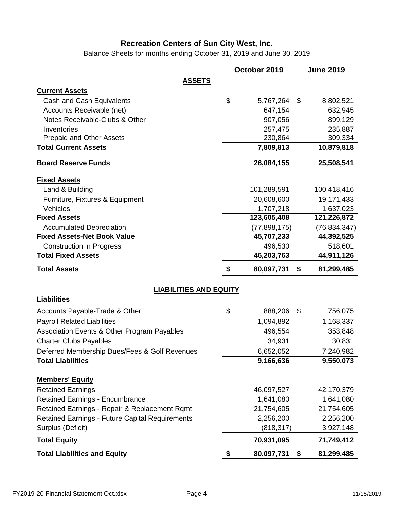Balance Sheets for months ending October 31, 2019 and June 30, 2019

|                                                                           | October 2019           | <b>June 2019</b>       |
|---------------------------------------------------------------------------|------------------------|------------------------|
| <b>ASSETS</b>                                                             |                        |                        |
| <b>Current Assets</b>                                                     |                        |                        |
| Cash and Cash Equivalents                                                 | \$<br>5,767,264        | \$<br>8,802,521        |
| Accounts Receivable (net)                                                 | 647,154                | 632,945                |
| Notes Receivable-Clubs & Other                                            | 907,056                | 899,129                |
| Inventories                                                               | 257,475                | 235,887                |
| <b>Prepaid and Other Assets</b>                                           | 230,864                | 309,334                |
| <b>Total Current Assets</b>                                               | 7,809,813              | 10,879,818             |
| <b>Board Reserve Funds</b>                                                | 26,084,155             | 25,508,541             |
| <b>Fixed Assets</b>                                                       |                        |                        |
| Land & Building                                                           | 101,289,591            | 100,418,416            |
| Furniture, Fixtures & Equipment                                           | 20,608,600             | 19,171,433             |
| Vehicles                                                                  | 1,707,218              | 1,637,023              |
| <b>Fixed Assets</b>                                                       | 123,605,408            | 121,226,872            |
| <b>Accumulated Depreciation</b>                                           | (77, 898, 175)         | (76, 834, 347)         |
| <b>Fixed Assets-Net Book Value</b>                                        | 45,707,233             | 44,392,525             |
| <b>Construction in Progress</b>                                           | 496,530                | 518,601                |
| <b>Total Fixed Assets</b>                                                 | 46,203,763             | 44,911,126             |
|                                                                           |                        |                        |
| <b>Total Assets</b>                                                       | \$<br>80,097,731       | \$<br>81,299,485       |
| <b>LIABILITIES AND EQUITY</b>                                             |                        |                        |
| <b>Liabilities</b>                                                        |                        |                        |
| Accounts Payable-Trade & Other                                            | \$<br>888,206          | \$<br>756,075          |
| <b>Payroll Related Liabilities</b>                                        | 1,094,892              | 1,168,337              |
|                                                                           | 496,554                | 353,848                |
| Association Events & Other Program Payables                               | 34,931                 | 30,831                 |
| <b>Charter Clubs Payables</b>                                             |                        |                        |
| Deferred Membership Dues/Fees & Golf Revenues<br><b>Total Liabilities</b> | 6,652,052<br>9,166,636 | 7,240,982<br>9,550,073 |
|                                                                           |                        |                        |
| <b>Members' Equity</b>                                                    |                        |                        |
| <b>Retained Earnings</b>                                                  | 46,097,527             | 42,170,379             |
| <b>Retained Earnings - Encumbrance</b>                                    | 1,641,080              | 1,641,080              |
| Retained Earnings - Repair & Replacement Rqmt                             | 21,754,605             | 21,754,605             |
| Retained Earnings - Future Capital Requirements                           | 2,256,200              | 2,256,200              |
| Surplus (Deficit)                                                         | (818, 317)             | 3,927,148              |
| <b>Total Equity</b>                                                       | 70,931,095             | 71,749,412             |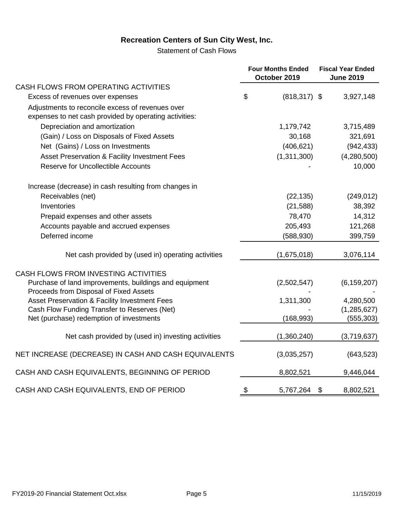Statement of Cash Flows

|                                                                                                            | <b>Four Months Ended</b><br>October 2019 | <b>Fiscal Year Ended</b><br><b>June 2019</b> |               |  |
|------------------------------------------------------------------------------------------------------------|------------------------------------------|----------------------------------------------|---------------|--|
| CASH FLOWS FROM OPERATING ACTIVITIES                                                                       |                                          |                                              |               |  |
| Excess of revenues over expenses                                                                           | \$<br>$(818, 317)$ \$                    |                                              | 3,927,148     |  |
| Adjustments to reconcile excess of revenues over<br>expenses to net cash provided by operating activities: |                                          |                                              |               |  |
| Depreciation and amortization                                                                              | 1,179,742                                |                                              | 3,715,489     |  |
| (Gain) / Loss on Disposals of Fixed Assets                                                                 | 30,168                                   |                                              | 321,691       |  |
| Net (Gains) / Loss on Investments                                                                          | (406, 621)                               |                                              | (942, 433)    |  |
| Asset Preservation & Facility Investment Fees                                                              | (1,311,300)                              |                                              | (4,280,500)   |  |
| <b>Reserve for Uncollectible Accounts</b>                                                                  |                                          |                                              | 10,000        |  |
| Increase (decrease) in cash resulting from changes in                                                      |                                          |                                              |               |  |
| Receivables (net)                                                                                          | (22, 135)                                |                                              | (249, 012)    |  |
| Inventories                                                                                                | (21, 588)                                |                                              | 38,392        |  |
| Prepaid expenses and other assets                                                                          | 78,470                                   |                                              | 14,312        |  |
| Accounts payable and accrued expenses                                                                      | 205,493                                  |                                              | 121,268       |  |
| Deferred income                                                                                            | (588, 930)                               |                                              | 399,759       |  |
| Net cash provided by (used in) operating activities                                                        | (1,675,018)                              |                                              | 3,076,114     |  |
| CASH FLOWS FROM INVESTING ACTIVITIES                                                                       |                                          |                                              |               |  |
| Purchase of land improvements, buildings and equipment<br>Proceeds from Disposal of Fixed Assets           | (2,502,547)                              |                                              | (6, 159, 207) |  |
| Asset Preservation & Facility Investment Fees                                                              | 1,311,300                                |                                              | 4,280,500     |  |
| Cash Flow Funding Transfer to Reserves (Net)                                                               |                                          |                                              | (1, 285, 627) |  |
| Net (purchase) redemption of investments                                                                   | (168, 993)                               |                                              | (555, 303)    |  |
| Net cash provided by (used in) investing activities                                                        | (1,360,240)                              |                                              | (3,719,637)   |  |
| NET INCREASE (DECREASE) IN CASH AND CASH EQUIVALENTS                                                       | (3,035,257)                              |                                              | (643, 523)    |  |
| CASH AND CASH EQUIVALENTS, BEGINNING OF PERIOD                                                             | 8,802,521                                |                                              | 9,446,044     |  |
| CASH AND CASH EQUIVALENTS, END OF PERIOD                                                                   | \$<br>5,767,264                          | $\boldsymbol{\mathsf{S}}$                    | 8,802,521     |  |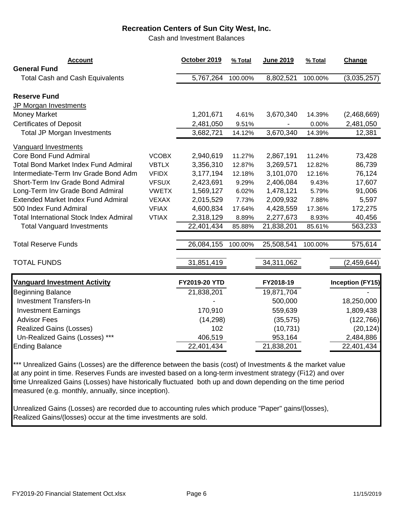Cash and Investment Balances

| <b>Account</b><br><b>General Fund</b>                          | October 2019  | % Total | June 2019  | % Total | Change                  |
|----------------------------------------------------------------|---------------|---------|------------|---------|-------------------------|
| <b>Total Cash and Cash Equivalents</b>                         | 5,767,264     | 100.00% | 8,802,521  | 100.00% | (3,035,257)             |
| <b>Reserve Fund</b><br>JP Morgan Investments                   |               |         |            |         |                         |
| <b>Money Market</b>                                            | 1,201,671     | 4.61%   | 3,670,340  | 14.39%  | (2,468,669)             |
| <b>Certificates of Deposit</b>                                 | 2,481,050     | 9.51%   |            | 0.00%   | 2,481,050               |
| <b>Total JP Morgan Investments</b>                             | 3,682,721     | 14.12%  | 3,670,340  | 14.39%  | 12,381                  |
| <b>Vanguard Investments</b>                                    |               |         |            |         |                         |
| <b>Core Bond Fund Admiral</b><br><b>VCOBX</b>                  | 2,940,619     | 11.27%  | 2,867,191  | 11.24%  | 73,428                  |
| <b>Total Bond Market Index Fund Admiral</b><br><b>VBTLX</b>    | 3,356,310     | 12.87%  | 3,269,571  | 12.82%  | 86,739                  |
| Intermediate-Term Inv Grade Bond Adm<br><b>VFIDX</b>           | 3,177,194     | 12.18%  | 3,101,070  | 12.16%  | 76,124                  |
| Short-Term Inv Grade Bond Admiral<br><b>VFSUX</b>              | 2,423,691     | 9.29%   | 2,406,084  | 9.43%   | 17,607                  |
| Long-Term Inv Grade Bond Admiral<br><b>VWETX</b>               | 1,569,127     | 6.02%   | 1,478,121  | 5.79%   | 91,006                  |
| <b>Extended Market Index Fund Admiral</b><br><b>VEXAX</b>      | 2,015,529     | 7.73%   | 2,009,932  | 7.88%   | 5,597                   |
| 500 Index Fund Admiral<br><b>VFIAX</b>                         | 4,600,834     | 17.64%  | 4,428,559  | 17.36%  | 172,275                 |
| <b>Total International Stock Index Admiral</b><br><b>VTIAX</b> | 2,318,129     | 8.89%   | 2,277,673  | 8.93%   | 40,456                  |
| <b>Total Vanguard Investments</b>                              | 22,401,434    | 85.88%  | 21,838,201 | 85.61%  | 563,233                 |
| <b>Total Reserve Funds</b>                                     | 26,084,155    | 100.00% | 25,508,541 | 100.00% | 575,614                 |
| <b>TOTAL FUNDS</b>                                             | 31,851,419    |         | 34,311,062 |         | (2,459,644)             |
| <b>Vanguard Investment Activity</b>                            | FY2019-20 YTD |         | FY2018-19  |         | <b>Inception (FY15)</b> |
| <b>Beginning Balance</b>                                       | 21,838,201    |         | 19,871,704 |         |                         |
| <b>Investment Transfers-In</b>                                 |               |         | 500,000    |         | 18,250,000              |
| <b>Investment Earnings</b>                                     | 170,910       |         | 559,639    |         | 1,809,438               |
| <b>Advisor Fees</b>                                            | (14, 298)     |         | (35, 575)  |         | (122, 766)              |
| <b>Realized Gains (Losses)</b>                                 | 102           |         | (10, 731)  |         | (20, 124)               |
| Un-Realized Gains (Losses) ***                                 | 406,519       |         | 953,164    |         | 2,484,886               |
| <b>Ending Balance</b>                                          | 22,401,434    |         | 21,838,201 |         | 22,401,434              |

\*\*\* Unrealized Gains (Losses) are the difference between the basis (cost) of Investments & the market value at any point in time. Reserves Funds are invested based on a long-term investment strategy (Fi12) and over time Unrealized Gains (Losses) have historically fluctuated both up and down depending on the time period measured (e.g. monthly, annually, since inception).

Unrealized Gains (Losses) are recorded due to accounting rules which produce "Paper" gains/(losses), Realized Gains/(losses) occur at the time investments are sold.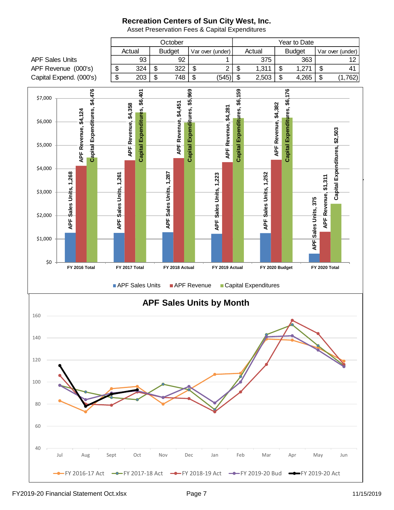October and a vertice of the Year to Date Actual | Budget | Var over (under) | Actual | Budget | Var over (under) APF Sales Units 93 92 1 375 363 12 APF Revenue (000's)  $\begin{vmatrix} 1 & 324 & 1 & 322 & 1 & 2 & 3 & 4 & 5 & 1,311 & 1 & 1,271 & 1 & 1,311 & 1 & 1,311 & 1 & 1,311 & 1,311 & 1,311 & 1,311 & 1,311 & 1,311 & 1,311 & 1,311 & 1,311 & 1,311 & 1,311 & 1,311 & 1,311 & 1,311 & 1,311 & 1,311 & 1,311 & 1,3$ Capital Expend. (000's)  $\begin{vmatrix} 1 & 203 & 1 & 748 & 15 \\ 1 & 203 & 1 & 748 & 15 \\ 1 & 1 & 1 & 1 & 15 \\ 1 & 1 & 1 & 1 & 15 \\ 1 & 1 & 1 & 1 & 15 \\ 1 & 1 & 1 & 1 & 15 \\ 1 & 1 & 1 & 1 & 15 \\ 1 & 1 & 1 & 1 & 15 \\ 1 & 1 & 1 & 1 & 15 \\ 1 & 1 & 1 & 1 & 15 \\ 1 & 1 & 1 & 1 & 15 \\ 1 & 1 &$  $$4,476$ Capital Expenditures, \$6,401 Capital Expenditures, \$5,969 59 Capital Expenditures, \$6,176 **Capital Expenditures, \$4,476 Capital Expenditures, \$5,969 Capital Expenditures, \$6,159 Capital Expenditures, \$6,176 Capital Expenditures, \$6,401** \$7,000 Capital Expenditures, \$6, APF Revenue, \$4,451 **APF Revenue, \$4,451** APF Revenue, \$4,358 APF Revenue, \$4,382 **APF Revenue, \$4,382 APF Revenue, \$4,358** APF Revenue, \$4,281 **APF Revenue, \$4,281 APF Revenue, \$4,124** \$6,000 Capital Expenditures, \$2,503 **Capital Expenditures, \$2,503** \$5,000  $\alpha$  2022 and for the 11 Months Ended \$4,000 Sales Units, 1,252 Sales Units, 1,268 **APF Sales Units, 1,268** APF Sales Units, 1,287 **APF Sales Units, 1,287** Sales Units, 1,261 Sales Units, 1,223 **APF Sales Units, 1,252 APF Sales Units, 1,261 APF Sales Units, 1,223** Revenue, \$1,311 **APF Revenue, \$1,311** \$3,000 Sales Units, 375 **APF Sales Units, 375** \$2,000 APF : APF | **APF** APF S APF : \$1,000  $APF$ \$0 **FY 2016 Total FY 2017 Total FY 2018 Actual FY 2019 Actual FY 2020 Budget FY 2020 Total** APF Sales Units APF Revenue Capital Expenditures **APF Sales Units by Month** 160 140 120 100 80 60 40 Jul Aug Sept Oct Nov Dec Jan Feb Mar Apr May Jun FY 2016-17 Act - FY 2017-18 Act - FY 2018-19 Act - FY 2019-20 Bud - FY 2019-20 Act

Asset Preservation Fees & Capital Expenditures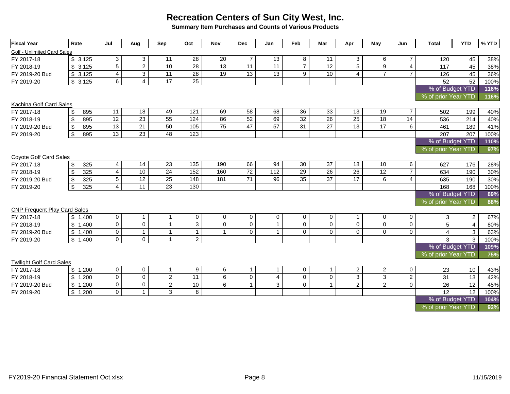**Summary Item Purchases and Counts of Various Products**

| <b>Fiscal Year</b>                  | Rate                 | Jul             | Aug             | Sep             | Oct               | <b>Nov</b>      | <b>Dec</b>      | Jan             | Feb            | Mar             | Apr                 | May            | Jun            | <b>Total</b>        | <b>YTD</b>     | % YTD |
|-------------------------------------|----------------------|-----------------|-----------------|-----------------|-------------------|-----------------|-----------------|-----------------|----------------|-----------------|---------------------|----------------|----------------|---------------------|----------------|-------|
| Golf - Unlimited Card Sales         |                      |                 |                 |                 |                   |                 |                 |                 |                |                 |                     |                |                |                     |                |       |
| FY 2017-18                          | \$3,125              | 3               | 3               | 11              | 28                | 20              | $\overline{7}$  | 13              | 8              | 11              | 3                   | 6              | $\overline{7}$ | 120                 | 45             | 38%   |
| FY 2018-19                          | \$3,125              | $\overline{5}$  | $\overline{2}$  | 10              | 28                | $\overline{13}$ | 11              | 11              | $\overline{7}$ | 12              | $\overline{5}$      | $\overline{9}$ | $\overline{4}$ | 117                 | 45             | 38%   |
| FY 2019-20 Bud                      | \$3,125              | $\overline{4}$  | $\overline{3}$  | 11              | 28                | 19              | $\overline{13}$ | $\overline{13}$ | 9              | 10              | $\overline{4}$      | $\overline{7}$ | $\overline{7}$ | 126                 | 45             | 36%   |
| FY 2019-20                          | \$3,125              | 6               | $\overline{4}$  | $\overline{17}$ | $\overline{25}$   |                 |                 |                 |                |                 |                     |                |                | 52                  | 52             | 100%  |
|                                     |                      |                 |                 |                 |                   |                 |                 |                 |                |                 |                     |                |                | % of Budget YTD     |                | 116%  |
|                                     |                      |                 |                 |                 |                   |                 |                 |                 |                |                 | % of prior Year YTD |                | 116%           |                     |                |       |
| Kachina Golf Card Sales             |                      |                 |                 |                 |                   |                 |                 |                 |                |                 |                     |                |                |                     |                |       |
| FY 2017-18                          | \$<br>895            | 11              | 18              | 49              | 121               | 69              | 58              | 68              | 36             | 33              | 13                  | 19             | $\overline{7}$ | 502                 | 199            | 40%   |
| FY 2018-19                          | 895<br>\$            | $\overline{12}$ | 23              | 55              | 124               | 86              | 52              | 69              | 32             | $\overline{26}$ | $\overline{25}$     | 18             | 14             | 536                 | 214            | 40%   |
| FY 2019-20 Bud                      | $\sqrt[6]{3}$<br>895 | $\overline{13}$ | $\overline{21}$ | 50              | $\frac{105}{105}$ | $\overline{75}$ | $\overline{47}$ | $\overline{57}$ | 31             | 27              | $\overline{13}$     | 17             | 6              | 461                 | 189            | 41%   |
| FY 2019-20                          | $\mathfrak s$<br>895 | 13              | $\overline{23}$ | 48              | 123               |                 |                 |                 |                |                 |                     |                |                | 207                 | 207            | 100%  |
|                                     |                      |                 |                 |                 |                   |                 |                 |                 |                |                 |                     |                |                | % of Budget YTD     |                | 110%  |
|                                     |                      |                 |                 |                 |                   |                 |                 |                 |                |                 |                     |                |                | % of prior Year YTD |                | 97%   |
| Coyote Golf Card Sales              |                      |                 |                 |                 |                   |                 |                 |                 |                |                 |                     |                |                |                     |                |       |
| FY 2017-18                          | \$<br>325            | 4               | 14              | 23              | 135               | 190             | 66              | 94              | 30             | 37              | 18                  | 10             | 6              | 627                 | 176            | 28%   |
| FY 2018-19                          | 325<br>\$            | $\overline{4}$  | 10              | 24              | 152               | 160             | $\overline{72}$ | $\frac{11}{2}$  | 29             | 26              | 26                  | 12             | $\overline{7}$ | 634                 | 190            | 30%   |
| FY 2019-20 Bud                      | 325<br>\$            | $\overline{5}$  | $\overline{12}$ | $\overline{25}$ | 148               | 181             | $\overline{71}$ | $\overline{96}$ | 35             | $\overline{37}$ | $\overline{17}$     | $\overline{6}$ | $\overline{4}$ | 635                 | 190            | 30%   |
| FY 2019-20                          | 325<br>\$            | $\overline{4}$  | $\overline{11}$ | $\overline{23}$ | 130               |                 |                 |                 |                |                 |                     |                |                | 168                 | 168            | 100%  |
|                                     |                      |                 |                 |                 |                   |                 |                 |                 |                |                 |                     |                |                | % of Budget YTD     |                | 89%   |
|                                     |                      |                 |                 |                 |                   |                 |                 |                 |                |                 |                     |                |                | % of prior Year YTD |                | 88%   |
| <b>CNP Frequent Play Card Sales</b> |                      |                 |                 |                 |                   |                 |                 |                 |                |                 |                     |                |                |                     |                |       |
| FY 2017-18                          | \$1,400              | $\mathbf 0$     | $\mathbf{1}$    | $\mathbf{1}$    | $\mathbf 0$       | $\mathbf 0$     | $\mathbf 0$     | $\overline{0}$  | $\mathbf 0$    | $\mathbf 0$     | $\mathbf{1}$        | $\mathbf 0$    | $\mathbf 0$    | 3                   | $\overline{2}$ | 67%   |
| FY 2018-19                          | \$1,400              | $\mathbf 0$     | $\mathsf{O}$    | $\mathbf{1}$    | $\overline{3}$    | $\mathbf 0$     | $\mathbf 0$     | $\mathbf{1}$    | $\overline{0}$ | 0               | $\mathbf 0$         | $\mathsf{O}$   | $\mathbf 0$    | 5                   | $\overline{4}$ | 80%   |
| FY 2019-20 Bud                      | \$1,400              | $\mathbf 0$     | $\mathbf{1}$    | $\mathbf{1}$    | $\mathbf{1}$      | $\mathbf{1}$    | $\Omega$        | $\mathbf{1}$    | $\Omega$       | $\Omega$        | $\Omega$            | $\Omega$       | $\Omega$       | 4                   | 3              | 63%   |
| FY 2019-20                          | \$1,400              | $\mathbf 0$     | $\mathbf 0$     | $\mathbf{1}$    | $\overline{2}$    |                 |                 |                 |                |                 |                     |                |                | 3                   | 3              | 100%  |
|                                     |                      |                 |                 |                 |                   |                 |                 |                 |                |                 |                     |                |                | % of Budget YTD     |                | 109%  |
|                                     |                      |                 |                 |                 |                   |                 |                 |                 |                |                 |                     |                |                | % of prior Year YTD |                | 75%   |
| <b>Twilight Golf Card Sales</b>     |                      |                 |                 |                 |                   |                 |                 |                 |                |                 |                     |                |                |                     |                |       |
| FY 2017-18                          | \$1,200              | 0               | $\mathbf 0$     | $\mathbf{1}$    | $\boldsymbol{9}$  | 6               | $\mathbf{1}$    | $\mathbf{1}$    | $\mathbf 0$    | $\mathbf{1}$    | $\overline{2}$      | $\overline{2}$ | $\mathbf 0$    | 23                  | 10             | 43%   |
| FY 2018-19                          | \$1,200              | $\mathbf 0$     | $\mathbf 0$     | $\overline{2}$  | 11                | 6               | $\Omega$        | $\overline{4}$  | $\Omega$       | $\Omega$        | $\overline{3}$      | $\overline{3}$ | $\overline{2}$ | 31                  | 13             | 42%   |
| FY 2019-20 Bud                      | \$1,200              | $\mathbf 0$     | $\mathbf 0$     | $\overline{a}$  | 10                | $6\phantom{a}$  | $\overline{1}$  | 3               | $\mathbf 0$    |                 | $\overline{2}$      | $\overline{2}$ | $\overline{0}$ | 26                  | 12             | 45%   |
| FY 2019-20                          | \$1,200              | $\mathbf 0$     | $\mathbf{1}$    | $\overline{3}$  | 8                 |                 |                 |                 |                |                 |                     |                |                | 12                  | 12             | 100%  |
|                                     |                      |                 |                 |                 |                   |                 |                 |                 |                |                 |                     |                |                | % of Budget YTD     |                | 104%  |
|                                     |                      |                 |                 |                 |                   |                 |                 |                 |                |                 |                     |                |                | % of prior Year YTD |                | 92%   |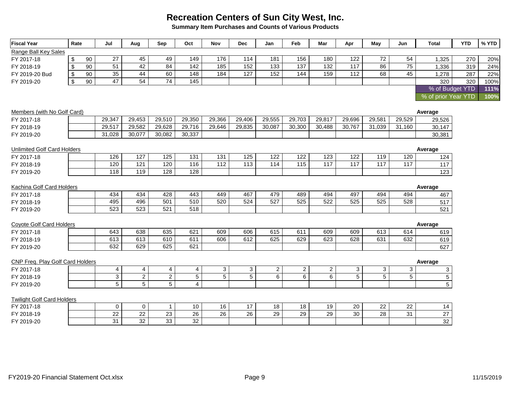**Summary Item Purchases and Counts of Various Products**

| Range Ball Key Sales<br>180<br>122<br>72<br>54<br>27<br>45<br>49<br>149<br>176<br>114<br>181<br>156<br>FY 2017-18<br>90<br>1,325<br>270<br>\$<br>$\overline{51}$<br>$\overline{42}$<br>$\overline{84}$<br>142<br>152<br>137<br>132<br>117<br>$\overline{86}$<br>$\overline{75}$<br>90<br>185<br>133<br>319<br>\$<br>1,336<br>FY 2018-19<br>35<br>44<br>60<br>152<br>159<br>68<br>45<br>148<br>184<br>127<br>144<br>$\frac{11}{2}$<br>90<br>287<br>\$<br>1,278<br>FY 2019-20 Bud<br>$\overline{47}$<br>$\overline{54}$<br>$\overline{74}$<br>$\mathfrak{S}$<br>145<br>90<br>320<br>320<br>FY 2019-20<br>% of Budget YTD<br>% of prior Year YTD | 20%<br>24%<br>22%<br>100%<br>111%<br>100% |
|-----------------------------------------------------------------------------------------------------------------------------------------------------------------------------------------------------------------------------------------------------------------------------------------------------------------------------------------------------------------------------------------------------------------------------------------------------------------------------------------------------------------------------------------------------------------------------------------------------------------------------------------------|-------------------------------------------|
|                                                                                                                                                                                                                                                                                                                                                                                                                                                                                                                                                                                                                                               |                                           |
|                                                                                                                                                                                                                                                                                                                                                                                                                                                                                                                                                                                                                                               |                                           |
|                                                                                                                                                                                                                                                                                                                                                                                                                                                                                                                                                                                                                                               |                                           |
|                                                                                                                                                                                                                                                                                                                                                                                                                                                                                                                                                                                                                                               |                                           |
|                                                                                                                                                                                                                                                                                                                                                                                                                                                                                                                                                                                                                                               |                                           |
|                                                                                                                                                                                                                                                                                                                                                                                                                                                                                                                                                                                                                                               |                                           |
|                                                                                                                                                                                                                                                                                                                                                                                                                                                                                                                                                                                                                                               |                                           |
| Members (with No Golf Card)<br>Average                                                                                                                                                                                                                                                                                                                                                                                                                                                                                                                                                                                                        |                                           |
| 29,453<br>29,510<br>29,350<br>29,366<br>29,406<br>29,555<br>29,703<br>29,817<br>29,696<br>29,581<br>29,529<br>29,347<br>29,526<br>FY 2017-18                                                                                                                                                                                                                                                                                                                                                                                                                                                                                                  |                                           |
| 29,582<br>29,628<br>29,716<br>29,517<br>29,646<br>29,835<br>30,087<br>30,300<br>30,488<br>30,767<br>31,039<br>31,160<br>FY 2018-19<br>30,147                                                                                                                                                                                                                                                                                                                                                                                                                                                                                                  |                                           |
| 30,082<br>30,337<br>31,028<br>30,077<br>30,381<br>FY 2019-20                                                                                                                                                                                                                                                                                                                                                                                                                                                                                                                                                                                  |                                           |
| <b>Unlimited Golf Card Holders</b><br>Average                                                                                                                                                                                                                                                                                                                                                                                                                                                                                                                                                                                                 |                                           |
| 126<br>127<br>125<br>131<br>131<br>125<br>122<br>122<br>123<br>122<br>119<br>120<br>FY 2017-18<br>124                                                                                                                                                                                                                                                                                                                                                                                                                                                                                                                                         |                                           |
| 120<br>121<br>120<br>112<br>$\overline{115}$<br>$\overline{117}$<br>$\overline{117}$<br>116<br>113<br>114<br>117<br>117<br>FY 2018-19<br>117                                                                                                                                                                                                                                                                                                                                                                                                                                                                                                  |                                           |
| 118<br>119<br>128<br>128<br>FY 2019-20<br>123                                                                                                                                                                                                                                                                                                                                                                                                                                                                                                                                                                                                 |                                           |
|                                                                                                                                                                                                                                                                                                                                                                                                                                                                                                                                                                                                                                               |                                           |
| Kachina Golf Card Holders<br>Average                                                                                                                                                                                                                                                                                                                                                                                                                                                                                                                                                                                                          |                                           |
| 494<br>434<br>434<br>428<br>443<br>449<br>467<br>479<br>489<br>497<br>494<br>494<br>FY 2017-18<br>467                                                                                                                                                                                                                                                                                                                                                                                                                                                                                                                                         |                                           |
| 495<br>496<br>501<br>510<br>520<br>524<br>527<br>525<br>522<br>525<br>525<br>528<br>FY 2018-19<br>517                                                                                                                                                                                                                                                                                                                                                                                                                                                                                                                                         |                                           |
| 523<br>521<br>518<br>523<br>521<br>FY 2019-20                                                                                                                                                                                                                                                                                                                                                                                                                                                                                                                                                                                                 |                                           |
| <b>Coyote Golf Card Holders</b><br>Average                                                                                                                                                                                                                                                                                                                                                                                                                                                                                                                                                                                                    |                                           |
| 615<br>638<br>635<br>621<br>609<br>643<br>609<br>606<br>611<br>609<br>613<br>614<br>FY 2017-18<br>619                                                                                                                                                                                                                                                                                                                                                                                                                                                                                                                                         |                                           |
| 613<br>610<br>612<br>625<br>613<br>611<br>606<br>629<br>623<br>628<br>631<br>632<br>FY 2018-19<br>619                                                                                                                                                                                                                                                                                                                                                                                                                                                                                                                                         |                                           |
| 625<br>621<br>632<br>629<br>627<br>FY 2019-20                                                                                                                                                                                                                                                                                                                                                                                                                                                                                                                                                                                                 |                                           |
| <b>CNP Freg. Play Golf Card Holders</b><br>Average                                                                                                                                                                                                                                                                                                                                                                                                                                                                                                                                                                                            |                                           |
| $\overline{4}$<br>$\mathbf{3}$<br>$\overline{2}$<br>$\mathbf{2}$<br>$\overline{a}$<br>3<br>3<br>$\overline{4}$<br>4<br>4<br>3<br>3<br>$\mathbf{3}$<br>FY 2017-18                                                                                                                                                                                                                                                                                                                                                                                                                                                                              |                                           |
| $\overline{2}$<br>$\overline{5}$<br>$\overline{5}$<br>$\overline{6}$<br>$\overline{6}$<br>$\overline{5}$<br>$\mathbf{3}$<br>$\overline{c}$<br>5<br>6<br>5<br>5<br>5<br>FY 2018-19                                                                                                                                                                                                                                                                                                                                                                                                                                                             |                                           |
| $\overline{5}$<br>$\overline{5}$<br>$\overline{5}$<br>$\overline{5}$<br>$\overline{4}$<br>FY 2019-20                                                                                                                                                                                                                                                                                                                                                                                                                                                                                                                                          |                                           |
| <b>Twilight Golf Card Holders</b>                                                                                                                                                                                                                                                                                                                                                                                                                                                                                                                                                                                                             |                                           |
| 16<br>17<br>18<br>18<br>19<br>22<br>22<br>FY 2017-18<br>$\mathbf 0$<br>0<br>$\mathbf{1}$<br>10<br>20<br>14                                                                                                                                                                                                                                                                                                                                                                                                                                                                                                                                    |                                           |
| $\overline{23}$<br>$\overline{26}$<br>$\overline{29}$<br>22<br>22<br>26<br>26<br>29<br>29<br>30<br>28<br>31<br>27<br>FY 2018-19                                                                                                                                                                                                                                                                                                                                                                                                                                                                                                               |                                           |
| 33<br>31<br>32<br>$\overline{32}$<br>32<br>FY 2019-20                                                                                                                                                                                                                                                                                                                                                                                                                                                                                                                                                                                         |                                           |